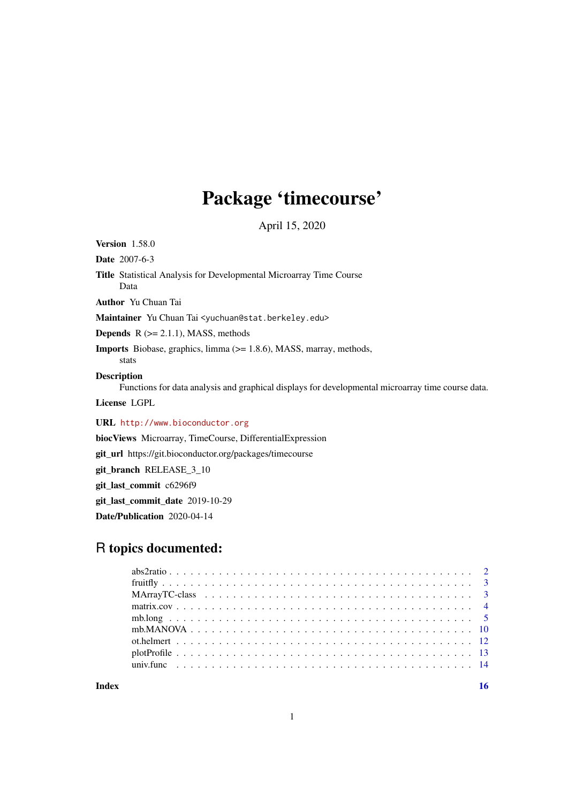# Package 'timecourse'

April 15, 2020

<span id="page-0-0"></span>Version 1.58.0

Date 2007-6-3

Title Statistical Analysis for Developmental Microarray Time Course Data

Author Yu Chuan Tai

Maintainer Yu Chuan Tai <yuchuan@stat.berkeley.edu>

**Depends**  $R$  ( $>= 2.1.1$ ), MASS, methods

Imports Biobase, graphics, limma (>= 1.8.6), MASS, marray, methods, stats

#### Description

Functions for data analysis and graphical displays for developmental microarray time course data.

License LGPL

URL <http://www.bioconductor.org>

biocViews Microarray, TimeCourse, DifferentialExpression

git\_url https://git.bioconductor.org/packages/timecourse

git\_branch RELEASE\_3\_10

git\_last\_commit c6296f9

git\_last\_commit\_date 2019-10-29

Date/Publication 2020-04-14

# R topics documented:

**Index** and the contract of the contract of the contract of the contract of the contract of the contract of the contract of the contract of the contract of the contract of the contract of the contract of the contract of th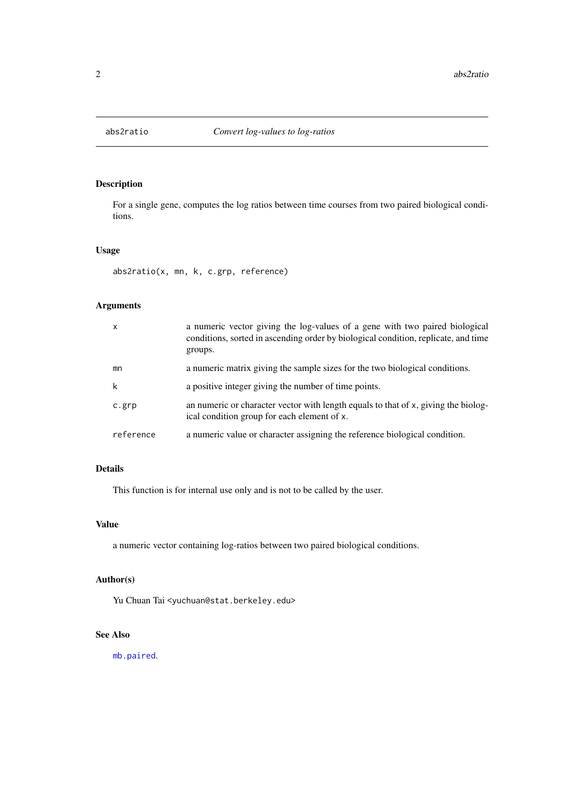<span id="page-1-0"></span>

# Description

For a single gene, computes the log ratios between time courses from two paired biological conditions.

## Usage

abs2ratio(x, mn, k, c.grp, reference)

# Arguments

| $\boldsymbol{\mathsf{x}}$ | a numeric vector giving the log-values of a gene with two paired biological<br>conditions, sorted in ascending order by biological condition, replicate, and time<br>groups. |
|---------------------------|------------------------------------------------------------------------------------------------------------------------------------------------------------------------------|
| mn                        | a numeric matrix giving the sample sizes for the two biological conditions.                                                                                                  |
| k                         | a positive integer giving the number of time points.                                                                                                                         |
| c.grp                     | an numeric or character vector with length equals to that of x, giving the biolog-<br>ical condition group for each element of x.                                            |
| reference                 | a numeric value or character assigning the reference biological condition.                                                                                                   |

# Details

This function is for internal use only and is not to be called by the user.

## Value

a numeric vector containing log-ratios between two paired biological conditions.

# Author(s)

Yu Chuan Tai <yuchuan@stat.berkeley.edu>

# See Also

[mb.paired](#page-4-1).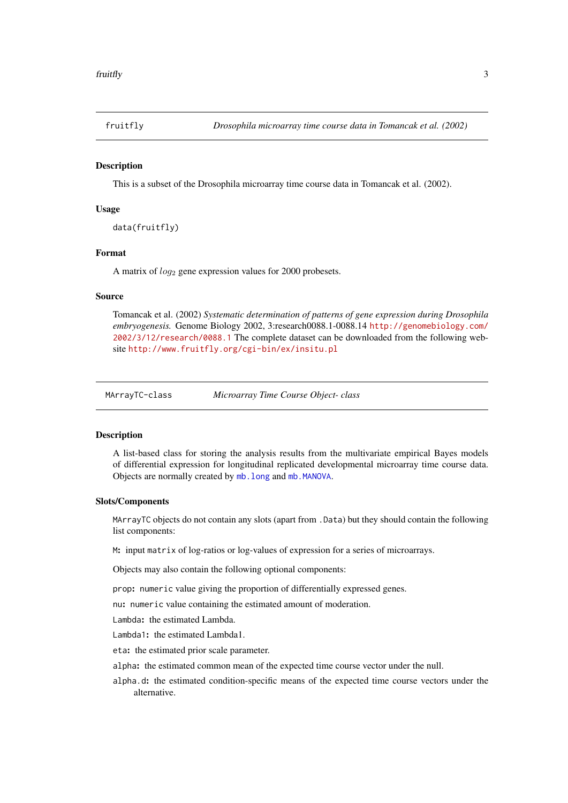<span id="page-2-0"></span>

#### Description

This is a subset of the Drosophila microarray time course data in Tomancak et al. (2002).

## Usage

data(fruitfly)

#### Format

A matrix of  $log_2$  gene expression values for 2000 probesets.

#### Source

Tomancak et al. (2002) *Systematic determination of patterns of gene expression during Drosophila embryogenesis.* Genome Biology 2002, 3:research0088.1-0088.14 [http://genomebiology.com/](http://genomebiology.com/2002/3/12/research/0088.1) [2002/3/12/research/0088.1](http://genomebiology.com/2002/3/12/research/0088.1) The complete dataset can be downloaded from the following website <http://www.fruitfly.org/cgi-bin/ex/insitu.pl>

MArrayTC-class *Microarray Time Course Object- class*

## Description

A list-based class for storing the analysis results from the multivariate empirical Bayes models of differential expression for longitudinal replicated developmental microarray time course data. Objects are normally created by [mb.long](#page-4-2) and [mb.MANOVA](#page-9-1).

#### Slots/Components

MArrayTC objects do not contain any slots (apart from .Data) but they should contain the following list components:

M: input matrix of log-ratios or log-values of expression for a series of microarrays.

Objects may also contain the following optional components:

prop: numeric value giving the proportion of differentially expressed genes.

nu: numeric value containing the estimated amount of moderation.

Lambda: the estimated Lambda.

Lambda1: the estimated Lambda1.

eta: the estimated prior scale parameter.

alpha: the estimated common mean of the expected time course vector under the null.

alpha.d: the estimated condition-specific means of the expected time course vectors under the alternative.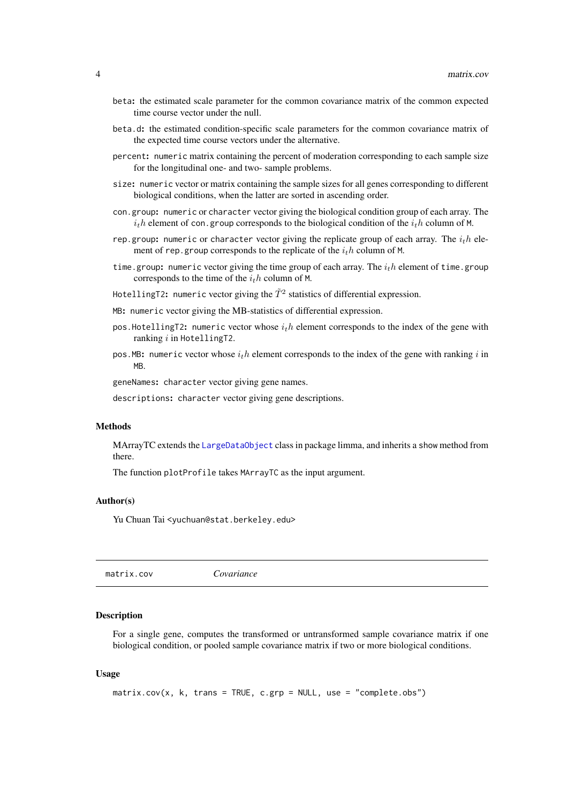- <span id="page-3-0"></span>beta: the estimated scale parameter for the common covariance matrix of the common expected time course vector under the null.
- beta.d: the estimated condition-specific scale parameters for the common covariance matrix of the expected time course vectors under the alternative.
- percent: numeric matrix containing the percent of moderation corresponding to each sample size for the longitudinal one- and two- sample problems.
- size: numeric vector or matrix containing the sample sizes for all genes corresponding to different biological conditions, when the latter are sorted in ascending order.
- con.group: numeric or character vector giving the biological condition group of each array. The  $i<sub>t</sub>h$  element of con.group corresponds to the biological condition of the  $i<sub>t</sub>h$  column of M.
- rep. group: numeric or character vector giving the replicate group of each array. The  $i<sub>t</sub>h$  element of rep. group corresponds to the replicate of the  $i<sub>t</sub>h$  column of M.
- time.group: numeric vector giving the time group of each array. The  $i<sub>t</sub>h$  element of time.group corresponds to the time of the  $i<sub>t</sub>h$  column of M.
- HotellingT2: numeric vector giving the  $\tilde{T}^2$  statistics of differential expression.
- MB: numeric vector giving the MB-statistics of differential expression.
- pos. HotellingT2: numeric vector whose  $i<sub>t</sub>h$  element corresponds to the index of the gene with ranking  $i$  in HotellingT2.
- pos. MB: numeric vector whose  $i<sub>t</sub>h$  element corresponds to the index of the gene with ranking i in MB.

geneNames: character vector giving gene names.

descriptions: character vector giving gene descriptions.

# **Methods**

MArrayTC extends the [LargeDataObject](#page-0-0) class in package limma, and inherits a show method from there.

The function plotProfile takes MArrayTC as the input argument.

#### Author(s)

Yu Chuan Tai <yuchuan@stat.berkeley.edu>

matrix.cov *Covariance*

#### Description

For a single gene, computes the transformed or untransformed sample covariance matrix if one biological condition, or pooled sample covariance matrix if two or more biological conditions.

## Usage

```
matrix.cov(x, k, trans = TRUE, c.grp = NULL, use = "complete.obs")
```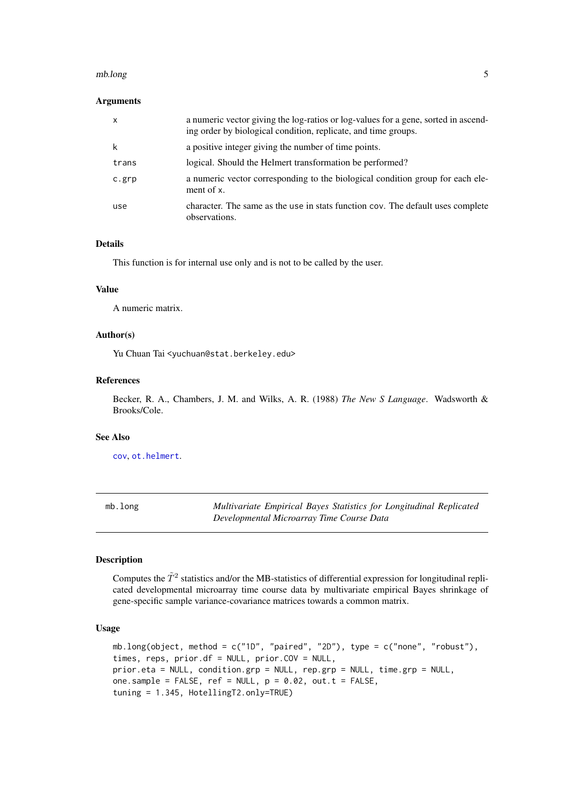#### <span id="page-4-0"></span>mb.long 5

# Arguments

| $\mathsf{x}$ | a numeric vector giving the log-ratios or log-values for a gene, sorted in ascend-<br>ing order by biological condition, replicate, and time groups. |
|--------------|------------------------------------------------------------------------------------------------------------------------------------------------------|
| k            | a positive integer giving the number of time points.                                                                                                 |
| trans        | logical. Should the Helmert transformation be performed?                                                                                             |
| c.grp        | a numeric vector corresponding to the biological condition group for each ele-<br>ment of x.                                                         |
| use          | character. The same as the use in stats function cov. The default uses complete<br>observations.                                                     |

## Details

This function is for internal use only and is not to be called by the user.

## Value

A numeric matrix.

#### Author(s)

Yu Chuan Tai <yuchuan@stat.berkeley.edu>

#### References

Becker, R. A., Chambers, J. M. and Wilks, A. R. (1988) *The New S Language*. Wadsworth & Brooks/Cole.

#### See Also

[cov](#page-0-0), [ot.helmert](#page-11-1).

<span id="page-4-2"></span>mb.long *Multivariate Empirical Bayes Statistics for Longitudinal Replicated Developmental Microarray Time Course Data*

## <span id="page-4-1"></span>Description

Computes the  $\tilde{T}^2$  statistics and/or the MB-statistics of differential expression for longitudinal replicated developmental microarray time course data by multivariate empirical Bayes shrinkage of gene-specific sample variance-covariance matrices towards a common matrix.

## Usage

```
mb.long(object, method = c("1D", "paired", "2D"), type = c("none", "robust"),
times, reps, prior.df = NULL, prior.COV = NULL,
prior.eta = NULL, condition.grp = NULL, rep.grp = NULL, time.grp = NULL,
one.sample = FALSE, ref = NULL, p = 0.02, out.t = FALSE,
tuning = 1.345, HotellingT2.only=TRUE)
```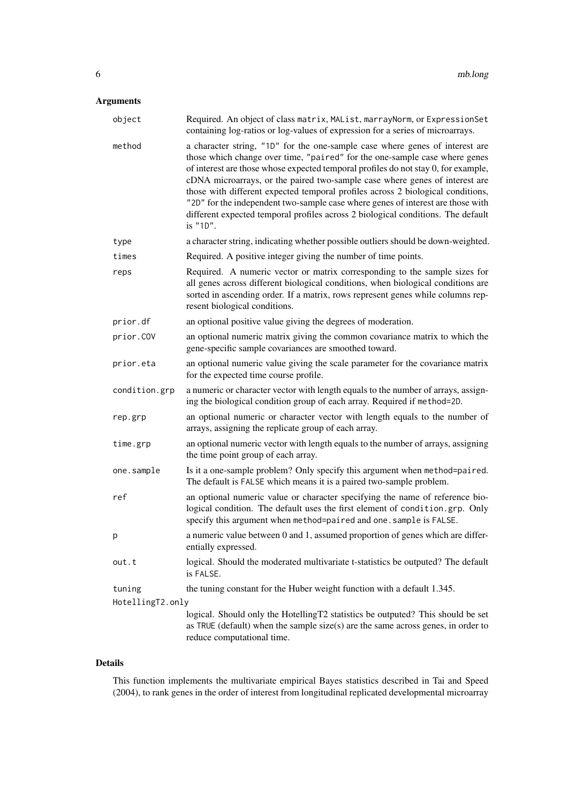# Arguments

| object           | Required. An object of class matrix, MAList, marrayNorm, or ExpressionSet<br>containing log-ratios or log-values of expression for a series of microarrays.                                                                                                                                                                                                                                                                                                                                                                                                                                           |
|------------------|-------------------------------------------------------------------------------------------------------------------------------------------------------------------------------------------------------------------------------------------------------------------------------------------------------------------------------------------------------------------------------------------------------------------------------------------------------------------------------------------------------------------------------------------------------------------------------------------------------|
| method           | a character string, "1D" for the one-sample case where genes of interest are<br>those which change over time, "paired" for the one-sample case where genes<br>of interest are those whose expected temporal profiles do not stay 0, for example,<br>cDNA microarrays, or the paired two-sample case where genes of interest are<br>those with different expected temporal profiles across 2 biological conditions,<br>"2D" for the independent two-sample case where genes of interest are those with<br>different expected temporal profiles across 2 biological conditions. The default<br>is "1D". |
| type             | a character string, indicating whether possible outliers should be down-weighted.                                                                                                                                                                                                                                                                                                                                                                                                                                                                                                                     |
| times            | Required. A positive integer giving the number of time points.                                                                                                                                                                                                                                                                                                                                                                                                                                                                                                                                        |
| reps             | Required. A numeric vector or matrix corresponding to the sample sizes for<br>all genes across different biological conditions, when biological conditions are<br>sorted in ascending order. If a matrix, rows represent genes while columns rep-<br>resent biological conditions.                                                                                                                                                                                                                                                                                                                    |
| prior.df         | an optional positive value giving the degrees of moderation.                                                                                                                                                                                                                                                                                                                                                                                                                                                                                                                                          |
| prior.COV        | an optional numeric matrix giving the common covariance matrix to which the<br>gene-specific sample covariances are smoothed toward.                                                                                                                                                                                                                                                                                                                                                                                                                                                                  |
| prior.eta        | an optional numeric value giving the scale parameter for the covariance matrix<br>for the expected time course profile.                                                                                                                                                                                                                                                                                                                                                                                                                                                                               |
| condition.grp    | a numeric or character vector with length equals to the number of arrays, assign-<br>ing the biological condition group of each array. Required if method=2D.                                                                                                                                                                                                                                                                                                                                                                                                                                         |
| rep.grp          | an optional numeric or character vector with length equals to the number of<br>arrays, assigning the replicate group of each array.                                                                                                                                                                                                                                                                                                                                                                                                                                                                   |
| time.grp         | an optional numeric vector with length equals to the number of arrays, assigning<br>the time point group of each array.                                                                                                                                                                                                                                                                                                                                                                                                                                                                               |
| one.sample       | Is it a one-sample problem? Only specify this argument when method=paired.<br>The default is FALSE which means it is a paired two-sample problem.                                                                                                                                                                                                                                                                                                                                                                                                                                                     |
| ref              | an optional numeric value or character specifying the name of reference bio-<br>logical condition. The default uses the first element of condition.grp. Only<br>specify this argument when method=paired and one. sample is FALSE.                                                                                                                                                                                                                                                                                                                                                                    |
| р                | a numeric value between 0 and 1, assumed proportion of genes which are differ-<br>entially expressed.                                                                                                                                                                                                                                                                                                                                                                                                                                                                                                 |
| out.t            | logical. Should the moderated multivariate t-statistics be outputed? The default<br>is FALSE.                                                                                                                                                                                                                                                                                                                                                                                                                                                                                                         |
| tuning           | the tuning constant for the Huber weight function with a default 1.345.                                                                                                                                                                                                                                                                                                                                                                                                                                                                                                                               |
| HotellingT2.only |                                                                                                                                                                                                                                                                                                                                                                                                                                                                                                                                                                                                       |
|                  | logical. Should only the HotellingT2 statistics be outputed? This should be set<br>as TRUE (default) when the sample $size(s)$ are the same across genes, in order to<br>reduce computational time.                                                                                                                                                                                                                                                                                                                                                                                                   |

# Details

This function implements the multivariate empirical Bayes statistics described in Tai and Speed (2004), to rank genes in the order of interest from longitudinal replicated developmental microarray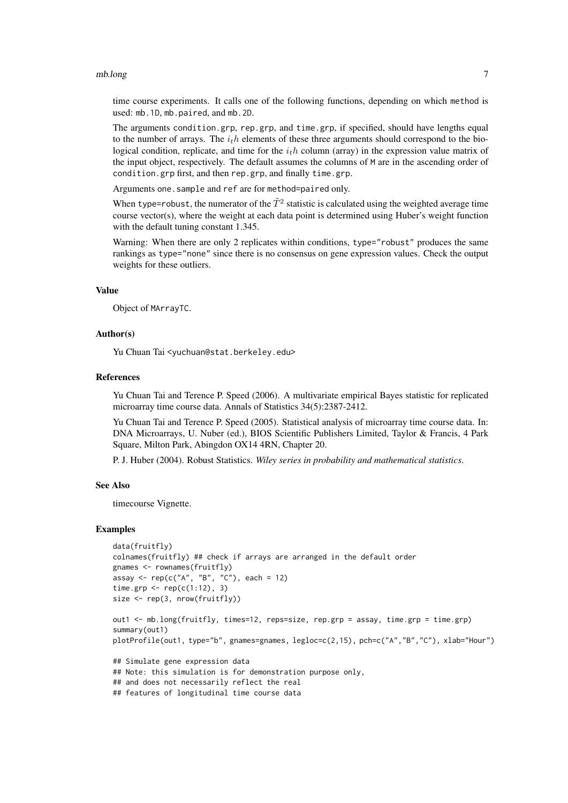#### mb.long 7

time course experiments. It calls one of the following functions, depending on which method is used: mb.1D, mb.paired, and mb.2D.

The arguments condition.grp, rep.grp, and time.grp, if specified, should have lengths equal to the number of arrays. The  $i<sub>t</sub>h$  elements of these three arguments should correspond to the biological condition, replicate, and time for the  $i<sub>t</sub>h$  column (array) in the expression value matrix of the input object, respectively. The default assumes the columns of M are in the ascending order of condition.grp first, and then rep.grp, and finally time.grp.

Arguments one.sample and ref are for method=paired only.

When type=robust, the numerator of the  $\tilde{T}^2$  statistic is calculated using the weighted average time course vector(s), where the weight at each data point is determined using Huber's weight function with the default tuning constant 1.345.

Warning: When there are only 2 replicates within conditions, type="robust" produces the same rankings as type="none" since there is no consensus on gene expression values. Check the output weights for these outliers.

## Value

Object of MArrayTC.

#### Author(s)

Yu Chuan Tai <yuchuan@stat.berkeley.edu>

#### References

Yu Chuan Tai and Terence P. Speed (2006). A multivariate empirical Bayes statistic for replicated microarray time course data. Annals of Statistics 34(5):2387-2412.

Yu Chuan Tai and Terence P. Speed (2005). Statistical analysis of microarray time course data. In: DNA Microarrays, U. Nuber (ed.), BIOS Scientific Publishers Limited, Taylor & Francis, 4 Park Square, Milton Park, Abingdon OX14 4RN, Chapter 20.

P. J. Huber (2004). Robust Statistics. *Wiley series in probability and mathematical statistics*.

#### See Also

timecourse Vignette.

#### Examples

```
data(fruitfly)
colnames(fruitfly) ## check if arrays are arranged in the default order
gnames <- rownames(fruitfly)
assay <- rep(c("A", "B", "C"), each = 12)time.grp \leq rep(c(1:12), 3)
size <- rep(3, nrow(fruitfly))
out1 <- mb.long(fruitfly, times=12, reps=size, rep.grp = assay, time.grp = time.grp)
summary(out1)
```
plotProfile(out1, type="b", gnames=gnames, legloc=c(2,15), pch=c("A","B","C"), xlab="Hour")

```
## Simulate gene expression data
## Note: this simulation is for demonstration purpose only,
## and does not necessarily reflect the real
## features of longitudinal time course data
```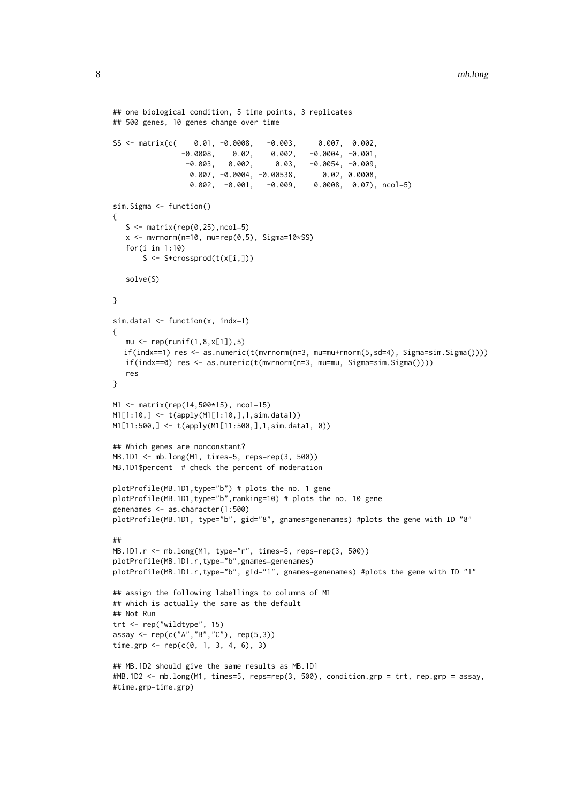```
## one biological condition, 5 time points, 3 replicates
## 500 genes, 10 genes change over time
SS <- matrix(c( 0.01, -0.0008, -0.003, 0.007, 0.002,-0.0008, 0.02, 0.002, -0.0004, -0.001,-0.003, 0.002, 0.03, -0.0054, -0.009,0.007, -0.0004, -0.00538, 0.02, 0.0008,
                 0.002, -0.001, -0.009, 0.0008, 0.07), ncol=5)
sim.Sigma <- function()
{
  S \leq matrix(rep(0,25), ncol=5)
   x \le - mvrnorm(n=10, mu=rep(0,5), Sigma=10*SS)
  for(i in 1:10)
      S <- S+crossprod(t(x[i,]))
   solve(S)
}
sim.data1 \leq function(x, index=1){
   mu \le - rep(runif(1,8,x[1]),5)if(indx==1) res <- as.numeric(t(mvrnorm(n=3, mu=mu+rnorm(5,sd=4), Sigma=sim.Sigma())))
  if(indx==0) res <- as.numeric(t(mvrnorm(n=3, mu=mu, Sigma=sim.Sigma())))
   res
}
M1 <- matrix(rep(14,500*15), ncol=15)
M1[1:10,] <- t(apply(M1[1:10,],1,sim.data1))
M1[11:500,] <- t(apply(M1[11:500,],1,sim.data1, 0))
## Which genes are nonconstant?
MB.1D1 <- mb.long(M1, times=5, reps=rep(3, 500))
MB.1D1$percent # check the percent of moderation
plotProfile(MB.1D1,type="b") # plots the no. 1 gene
plotProfile(MB.1D1,type="b",ranking=10) # plots the no. 10 gene
genenames <- as.character(1:500)
plotProfile(MB.1D1, type="b", gid="8", gnames=genenames) #plots the gene with ID "8"
##
MB.1D1.r <- mb.long(M1, type="r", times=5, reps=rep(3, 500))
plotProfile(MB.1D1.r,type="b",gnames=genenames)
plotProfile(MB.1D1.r,type="b", gid="1", gnames=genenames) #plots the gene with ID "1"
## assign the following labellings to columns of M1
## which is actually the same as the default
## Not Run
trt <- rep("wildtype", 15)
assay <- rep(c("A","B","C"), rep(5,3))
time.grp <- rep(c(0, 1, 3, 4, 6), 3)## MB.1D2 should give the same results as MB.1D1
#MB.1D2 <- mb.long(M1, times=5, reps=rep(3, 500), condition.grp = trt, rep.grp = assay,
#time.grp=time.grp)
```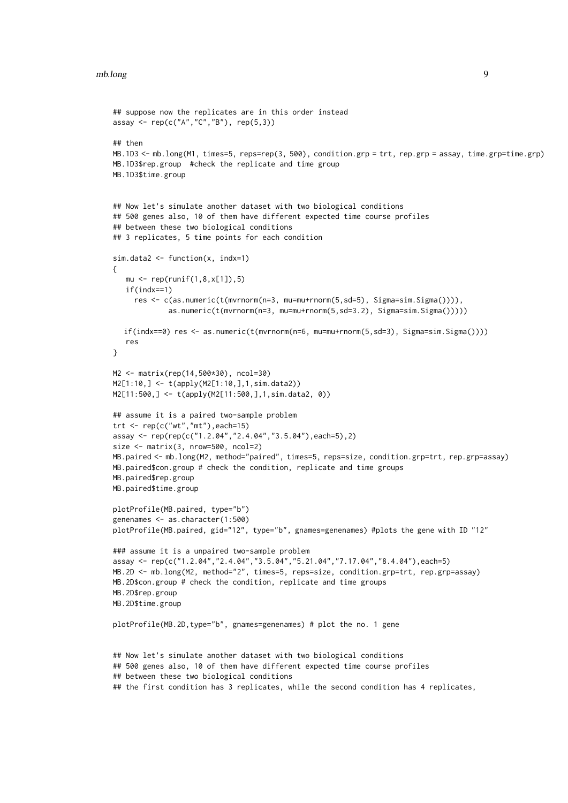```
## suppose now the replicates are in this order instead
assay <- rep(c("A", "C", "B"), rep(5,3))## then
MB.1D3 <- mb.long(M1, times=5, reps=rep(3, 500), condition.grp = trt, rep.grp = assay, time.grp=time.grp)
MB.1D3$rep.group #check the replicate and time group
MB.1D3$time.group
## Now let's simulate another dataset with two biological conditions
## 500 genes also, 10 of them have different expected time course profiles
## between these two biological conditions
## 3 replicates, 5 time points for each condition
sim.data2 <- function(x, indx=1)
{
   mu \le - rep(runif(1,8,x[1]),5)
   if(indx==1)
    res <- c(as.numeric(t(mvrnorm(n=3, mu=mu+rnorm(5,sd=5), Sigma=sim.Sigma()))),
             as.numeric(t(mvrnorm(n=3, mu=mu+rnorm(5,sd=3.2), Sigma=sim.Sigma()))))
  if(indx==0) res <- as.numeric(t(mvrnorm(n=6, mu=mu+rnorm(5,sd=3), Sigma=sim.Sigma())))
   res
}
M2 <- matrix(rep(14,500*30), ncol=30)
M2[1:10,] <- t(apply(M2[1:10,],1,sim.data2))
M2[11:500,] <- t(apply(M2[11:500,],1,sim.data2, 0))
## assume it is a paired two-sample problem
trt \leq rep(c("wt","mt"), each=15)
assay <- rep(rep(c("1.2.04","2.4.04","3.5.04"),each=5),2)
size <- matrix(3, nrow=500, ncol=2)
MB.paired <- mb.long(M2, method="paired", times=5, reps=size, condition.grp=trt, rep.grp=assay)
MB.paired$con.group # check the condition, replicate and time groups
MB.paired$rep.group
MB.paired$time.group
plotProfile(MB.paired, type="b")
genenames <- as.character(1:500)
plotProfile(MB.paired, gid="12", type="b", gnames=genenames) #plots the gene with ID "12"
### assume it is a unpaired two-sample problem
assay <- rep(c("1.2.04","2.4.04","3.5.04","5.21.04","7.17.04","8.4.04"),each=5)
MB.2D <- mb.long(M2, method="2", times=5, reps=size, condition.grp=trt, rep.grp=assay)
MB.2D$con.group # check the condition, replicate and time groups
MB.2D$rep.group
MB.2D$time.group
plotProfile(MB.2D,type="b", gnames=genenames) # plot the no. 1 gene
## Now let's simulate another dataset with two biological conditions
## 500 genes also, 10 of them have different expected time course profiles
## between these two biological conditions
## the first condition has 3 replicates, while the second condition has 4 replicates,
```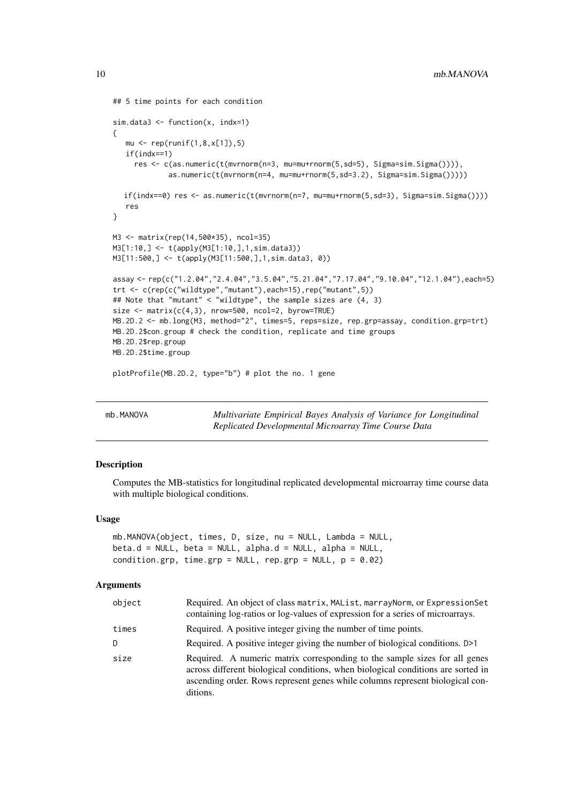```
## 5 time points for each condition
sim.data3 \leq function(x, index=1){
   mu \leftarrow rep(runif(1,8,x[1]),5)if(indx==1)
     res <- c(as.numeric(t(mvrnorm(n=3, mu=mu+rnorm(5,sd=5), Sigma=sim.Sigma()))),
             as.numeric(t(mvrnorm(n=4, mu=mu+rnorm(5,sd=3.2), Sigma=sim.Sigma()))))
  if(indx==0) res <- as.numeric(t(mvrnorm(n=7, mu=mu+rnorm(5,sd=3), Sigma=sim.Sigma())))
   res
}
M3 <- matrix(rep(14,500*35), ncol=35)
M3[1:10,] <- t(apply(M3[1:10,],1,sim.data3))
M3[11:500,] <- t(apply(M3[11:500,],1,sim.data3, 0))
assay <- rep(c("1.2.04","2.4.04","3.5.04","5.21.04","7.17.04","9.10.04","12.1.04"),each=5)
trt <- c(rep(c("wildtype","mutant"),each=15),rep("mutant",5))
## Note that "mutant" < "wildtype", the sample sizes are (4, 3)
size \leq matrix(c(4,3), nrow=500, ncol=2, byrow=TRUE)
MB.2D.2 <- mb.long(M3, method="2", times=5, reps=size, rep.grp=assay, condition.grp=trt)
MB.2D.2$con.group # check the condition, replicate and time groups
MB.2D.2$rep.group
MB.2D.2$time.group
```
plotProfile(MB.2D.2, type="b") # plot the no. 1 gene

<span id="page-9-1"></span>mb.MANOVA *Multivariate Empirical Bayes Analysis of Variance for Longitudinal Replicated Developmental Microarray Time Course Data*

#### Description

Computes the MB-statistics for longitudinal replicated developmental microarray time course data with multiple biological conditions.

#### Usage

```
mb.MANOVA(object, times, D, size, nu = NULL, Lambda = NULL,
beta.d = NULL, beta = NULL, alpha.d = NULL, alpha = NULL,
condition.grp, time.grp = NULL, rep.grp = NULL, p = 0.02)
```
## Arguments

| object | Required. An object of class matrix, MAList, marrayNorm, or ExpressionSet<br>containing log-ratios or log-values of expression for a series of microarrays.                                                                                                 |
|--------|-------------------------------------------------------------------------------------------------------------------------------------------------------------------------------------------------------------------------------------------------------------|
| times  | Required. A positive integer giving the number of time points.                                                                                                                                                                                              |
| D      | Required. A positive integer giving the number of biological conditions. D>1                                                                                                                                                                                |
| size   | Required. A numeric matrix corresponding to the sample sizes for all genes<br>across different biological conditions, when biological conditions are sorted in<br>ascending order. Rows represent genes while columns represent biological con-<br>ditions. |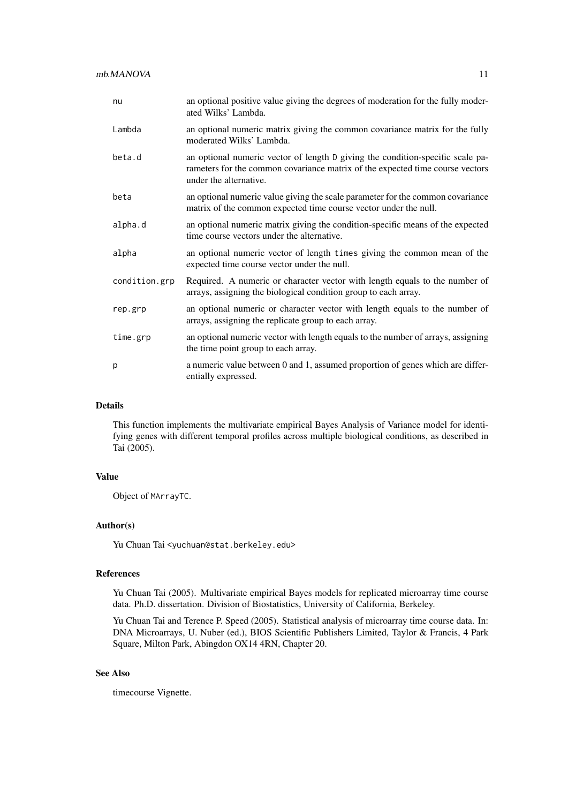| nu            | an optional positive value giving the degrees of moderation for the fully moder-<br>ated Wilks' Lambda.                                                                                   |
|---------------|-------------------------------------------------------------------------------------------------------------------------------------------------------------------------------------------|
| Lambda        | an optional numeric matrix giving the common covariance matrix for the fully<br>moderated Wilks' Lambda.                                                                                  |
| beta.d        | an optional numeric vector of length D giving the condition-specific scale pa-<br>rameters for the common covariance matrix of the expected time course vectors<br>under the alternative. |
| beta          | an optional numeric value giving the scale parameter for the common covariance<br>matrix of the common expected time course vector under the null.                                        |
| alpha.d       | an optional numeric matrix giving the condition-specific means of the expected<br>time course vectors under the alternative.                                                              |
| alpha         | an optional numeric vector of length times giving the common mean of the<br>expected time course vector under the null.                                                                   |
| condition.grp | Required. A numeric or character vector with length equals to the number of<br>arrays, assigning the biological condition group to each array.                                            |
| rep.grp       | an optional numeric or character vector with length equals to the number of<br>arrays, assigning the replicate group to each array.                                                       |
| time.grp      | an optional numeric vector with length equals to the number of arrays, assigning<br>the time point group to each array.                                                                   |
| p             | a numeric value between 0 and 1, assumed proportion of genes which are differ-<br>entially expressed.                                                                                     |

## Details

This function implements the multivariate empirical Bayes Analysis of Variance model for identifying genes with different temporal profiles across multiple biological conditions, as described in Tai (2005).

# Value

Object of MArrayTC.

## Author(s)

Yu Chuan Tai <yuchuan@stat.berkeley.edu>

## References

Yu Chuan Tai (2005). Multivariate empirical Bayes models for replicated microarray time course data. Ph.D. dissertation. Division of Biostatistics, University of California, Berkeley.

Yu Chuan Tai and Terence P. Speed (2005). Statistical analysis of microarray time course data. In: DNA Microarrays, U. Nuber (ed.), BIOS Scientific Publishers Limited, Taylor & Francis, 4 Park Square, Milton Park, Abingdon OX14 4RN, Chapter 20.

# See Also

timecourse Vignette.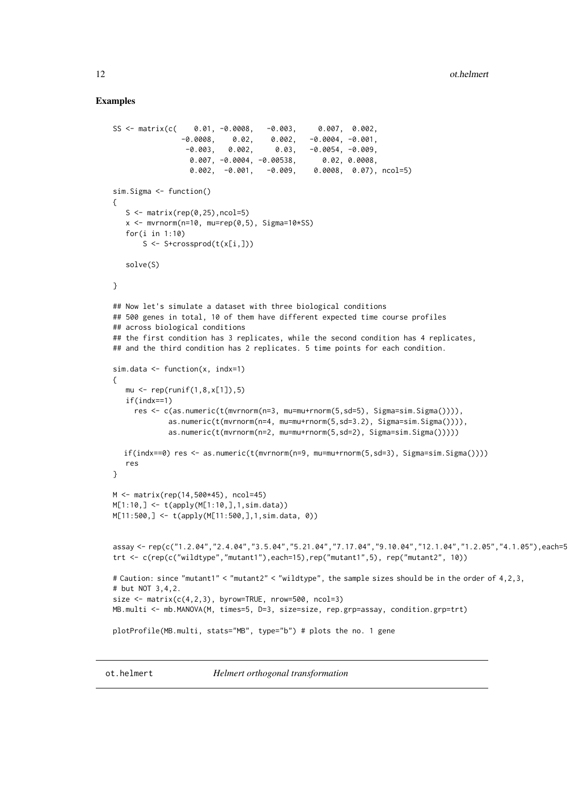#### <span id="page-11-0"></span>Examples

```
SS <- matrix(c( 0.01, -0.0008, -0.003, 0.007, 0.002,
                -0.0008, 0.02, 0.002, -0.0004, -0.001,-0.003, 0.002, 0.03, -0.0054, -0.009,0.007, -0.0004, -0.00538, 0.02, 0.0008,
                  0.002, -0.001, -0.009, 0.0008, 0.07), ncol=5)
sim.Sigma <- function()
{
   S \leq matrix(rep(0,25), ncol=5)
   x \le - mvrnorm(n=10, mu=rep(0,5), Sigma=10*SS)
   for(i in 1:10)
       S <- S+crossprod(t(x[i,]))
   solve(S)
}
## Now let's simulate a dataset with three biological conditions
## 500 genes in total, 10 of them have different expected time course profiles
## across biological conditions
## the first condition has 3 replicates, while the second condition has 4 replicates,
## and the third condition has 2 replicates. 5 time points for each condition.
sim.data \leftarrow function(x, index=1){
   mu \leftarrow rep(runif(1,8,x[1]),5)if(indx==1)
     res <- c(as.numeric(t(mvrnorm(n=3, mu=mu+rnorm(5,sd=5), Sigma=sim.Sigma()))),
             as.numeric(t(mvrnorm(n=4, mu=mu+rnorm(5,sd=3.2), Sigma=sim.Sigma()))),
             as.numeric(t(mvrnorm(n=2, mu=mu+rnorm(5,sd=2), Sigma=sim.Sigma()))))
  if(indx==0) res <- as.numeric(t(mvrnorm(n=9, mu=mu+rnorm(5,sd=3), Sigma=sim.Sigma())))
   res
}
M <- matrix(rep(14,500*45), ncol=45)
M[1:10,] <- t(apply(M[1:10,],1,sim.data))
M[11:500,] <- t(apply(M[11:500,],1,sim.data, 0))
assay <- rep(c("1.2.04","2.4.04","3.5.04","5.21.04","7.17.04","9.10.04","12.1.04","1.2.05","4.1.05"),each=5)
trt <- c(rep(c("wildtype","mutant1"),each=15),rep("mutant1",5), rep("mutant2", 10))
# Caution: since "mutant1" < "mutant2" < "wildtype", the sample sizes should be in the order of 4,2,3,
# but NOT 3,4,2.
size \leq matrix(c(4,2,3), byrow=TRUE, nrow=500, ncol=3)
MB.multi <- mb.MANOVA(M, times=5, D=3, size=size, rep.grp=assay, condition.grp=trt)
plotProfile(MB.multi, stats="MB", type="b") # plots the no. 1 gene
```
<span id="page-11-1"></span>ot.helmert *Helmert orthogonal transformation*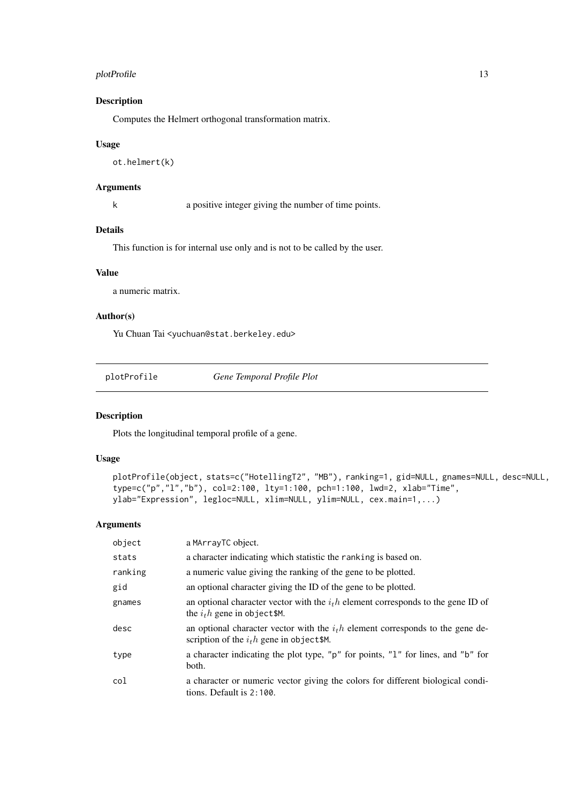#### <span id="page-12-0"></span>plotProfile that the contract of the contract of the contract of the contract of the contract of the contract of the contract of the contract of the contract of the contract of the contract of the contract of the contract

## Description

Computes the Helmert orthogonal transformation matrix.

# Usage

ot.helmert(k)

#### Arguments

k a positive integer giving the number of time points.

#### Details

This function is for internal use only and is not to be called by the user.

#### Value

a numeric matrix.

#### Author(s)

Yu Chuan Tai <yuchuan@stat.berkeley.edu>

plotProfile *Gene Temporal Profile Plot*

## Description

Plots the longitudinal temporal profile of a gene.

# Usage

```
plotProfile(object, stats=c("HotellingT2", "MB"), ranking=1, gid=NULL, gnames=NULL, desc=NULL,
type=c("p","l","b"), col=2:100, lty=1:100, pch=1:100, lwd=2, xlab="Time",
ylab="Expression", legloc=NULL, xlim=NULL, ylim=NULL, cex.main=1,...)
```
#### Arguments

| object  | a MArrayTC object.                                                                                                            |
|---------|-------------------------------------------------------------------------------------------------------------------------------|
| stats   | a character indicating which statistic the ranking is based on.                                                               |
| ranking | a numeric value giving the ranking of the gene to be plotted.                                                                 |
| gid     | an optional character giving the ID of the gene to be plotted.                                                                |
| gnames  | an optional character vector with the $ith$ element corresponds to the gene ID of<br>the $ith$ gene in object \$M.            |
| desc    | an optional character vector with the $ith$ element corresponds to the gene de-<br>scription of the $ith$ gene in object \$M. |
| type    | a character indicating the plot type, "p" for points, "1" for lines, and "b" for<br>both.                                     |
| col     | a character or numeric vector giving the colors for different biological condi-<br>tions. Default is $2:100$ .                |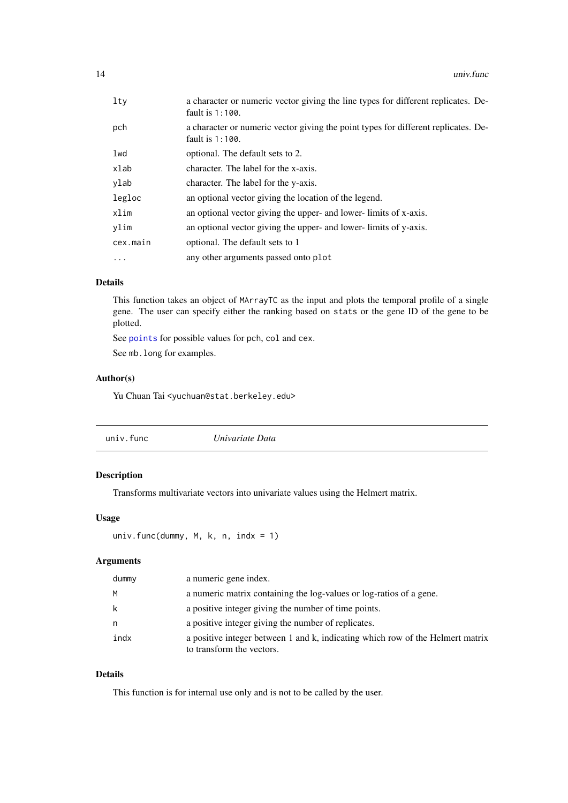<span id="page-13-0"></span>

| $1$ ty    | a character or numeric vector giving the line types for different replicates. De-<br>fault is $1:100$ .  |
|-----------|----------------------------------------------------------------------------------------------------------|
| pch       | a character or numeric vector giving the point types for different replicates. De-<br>fault is $1:100$ . |
| lwd       | optional. The default sets to 2.                                                                         |
| xlab      | character. The label for the x-axis.                                                                     |
| ylab      | character. The label for the y-axis.                                                                     |
| legloc    | an optional vector giving the location of the legend.                                                    |
| xlim      | an optional vector giving the upper- and lower-limits of x-axis.                                         |
| ylim      | an optional vector giving the upper- and lower-limits of y-axis.                                         |
| cex.main  | optional. The default sets to 1                                                                          |
| $\ddotsc$ | any other arguments passed onto plot                                                                     |
|           |                                                                                                          |

# Details

This function takes an object of MArrayTC as the input and plots the temporal profile of a single gene. The user can specify either the ranking based on stats or the gene ID of the gene to be plotted.

See [points](#page-0-0) for possible values for pch, col and cex.

See mb.long for examples.

# Author(s)

Yu Chuan Tai <yuchuan@stat.berkeley.edu>

# Description

Transforms multivariate vectors into univariate values using the Helmert matrix.

# Usage

```
univ.func(dummy, M, k, n, indx = 1)
```
# Arguments

| dummy | a numeric gene index.                                                                                       |
|-------|-------------------------------------------------------------------------------------------------------------|
| M     | a numeric matrix containing the log-values or log-ratios of a gene.                                         |
| k     | a positive integer giving the number of time points.                                                        |
| n     | a positive integer giving the number of replicates.                                                         |
| indx  | a positive integer between 1 and k, indicating which row of the Helmert matrix<br>to transform the vectors. |

# Details

This function is for internal use only and is not to be called by the user.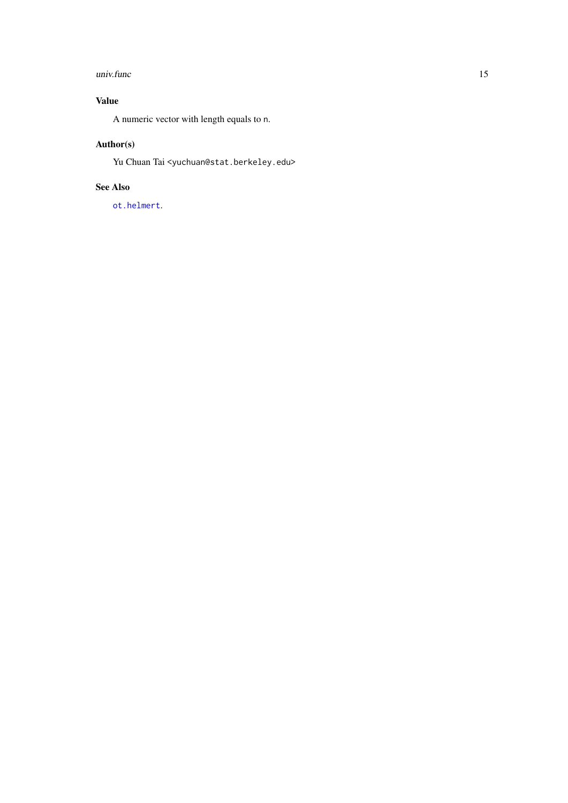#### <span id="page-14-0"></span>univ.func 15

# Value

A numeric vector with length equals to n.

# Author(s)

Yu Chuan Tai <yuchuan@stat.berkeley.edu>

# See Also

[ot.helmert](#page-11-1).